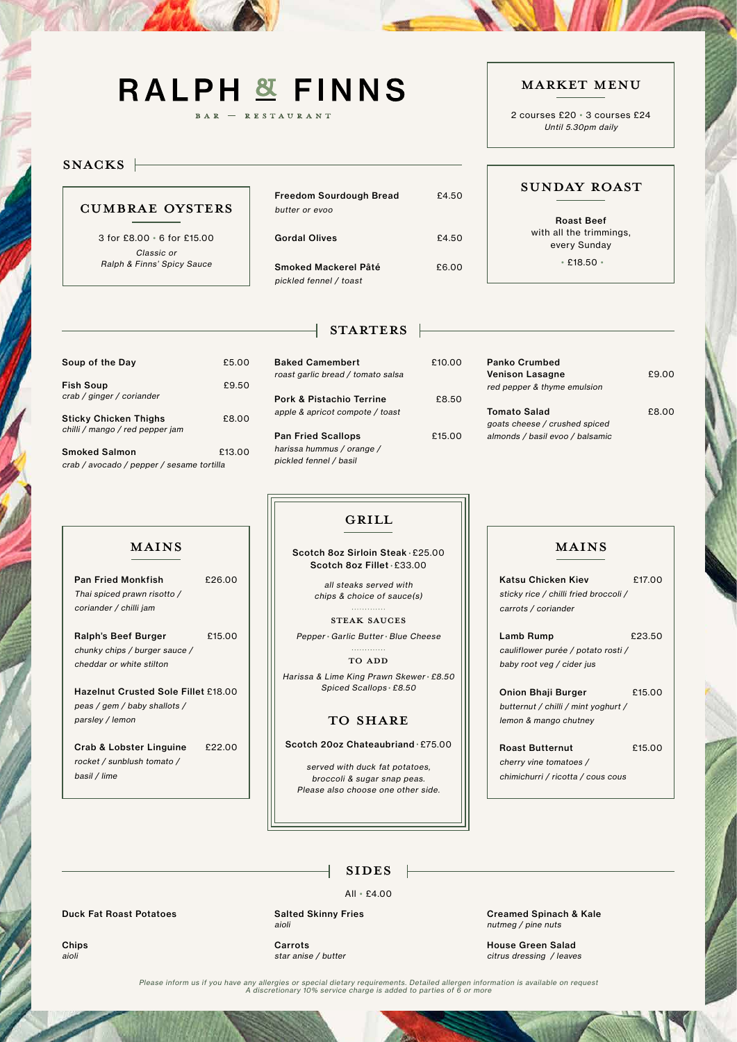# **RALPH & FINNS**

BAR - RESTAURANT

### SNACKS |

## SUNDAY ROAST

#### MARKET MENU

2 courses £20 • 3 courses £24 Until 5.30pm daily

| Soup of the Day                                                 | £5.00  |  |
|-----------------------------------------------------------------|--------|--|
| <b>Fish Soup</b><br>crab / ginger / coriander                   | £9.50  |  |
| <b>Sticky Chicken Thighs</b><br>chilli / mango / red pepper jam | £8.00  |  |
| <b>Smoked Salmon</b>                                            | £13.00 |  |
| crab / avocado / pepper / sesame tortilla                       |        |  |

| £5.00  | <b>Baked Camembert</b><br>roast garlic bread / tomato salsa | £10.00 |
|--------|-------------------------------------------------------------|--------|
| £9.50  |                                                             |        |
|        | <b>Pork &amp; Pistachio Terrine</b>                         | £8.50  |
| £8.00  | apple & apricot compote / toast                             |        |
|        | <b>Pan Fried Scallops</b>                                   | £15.00 |
| £13.00 | harissa hummus / orange /                                   |        |
| illa   | pickled fennel / basil                                      |        |

Panko Crumbed

Pan Fried Monkfish £26.00 Thai spiced prawn risotto / coriander / chilli jam

Ralph's Beef Burger E15.00 chunky chips / burger sauce / cheddar or white stilton

| <b>Venison Lasagne</b><br>red pepper & thyme emulsion                                   | £9.00 |
|-----------------------------------------------------------------------------------------|-------|
| <b>Tomato Salad</b><br>goats cheese / crushed spiced<br>almonds / basil evoo / balsamic | £8.00 |

| <b>Freedom Sourdough Bread</b><br>butter or evoo | £4.50 |
|--------------------------------------------------|-------|
| <b>Gordal Olives</b>                             | £4.50 |
| Smoked Mackerel Pâté<br>pickled fennel / toast   | £6.00 |

# STARTERS |

Lamb Rump <br>
£23.50 cauliflower purée / potato rosti / baby root veg / cider jus

Onion Bhaji Burger £15.00 butternut / chilli / mint yoghurt / lemon & mango chutney

CUMBRAE OYSTERS

### Roast Butternut £15.00 cherry vine tomatoes / chimichurri / ricotta / cous cous

3 for £8.00 • 6 for £15.00 Classic or Ralph & Finns' Spicy Sauce

> $\textbf{MAINS} \quad \begin{array}{|c|c|c|c|c|} \hline \quad\quad & \text{Scotch} & \text{Soz Sirloin Steak} \cdot \texttt{E25.00} & $\;||&|& \text{MAINS} \end{array}$ Scotch 8oz Fillet • £33.00

> > . . . . . . . . . . . . . STEAK SAUCES

Roast Beef with all the trimmings, every Sunday

#### . . . . . . . . . . . . . TO ADD



Hazelnut Crusted Sole Fillet £18.00 peas / gem / baby shallots / parsley / lemon

Crab & Lobster Linguine £22.00 rocket / sunblush tomato / basil / lime

Katsu Chicken Kiev £17.00 sticky rice / chilli fried broccoli / carrots / coriander

all steaks served with chips & choice of sauce(s)

Pepper • Garlic Butter • Blue Cheese

Harissa & Lime King Prawn Skewer • £8.50 Spiced Scallops • £8.50

#### TO SHARE

#### Scotch 20oz Chateaubriand • £75.00

served with duck fat potatoes, broccoli & sugar snap peas.

# GRILL

• £18.50 •